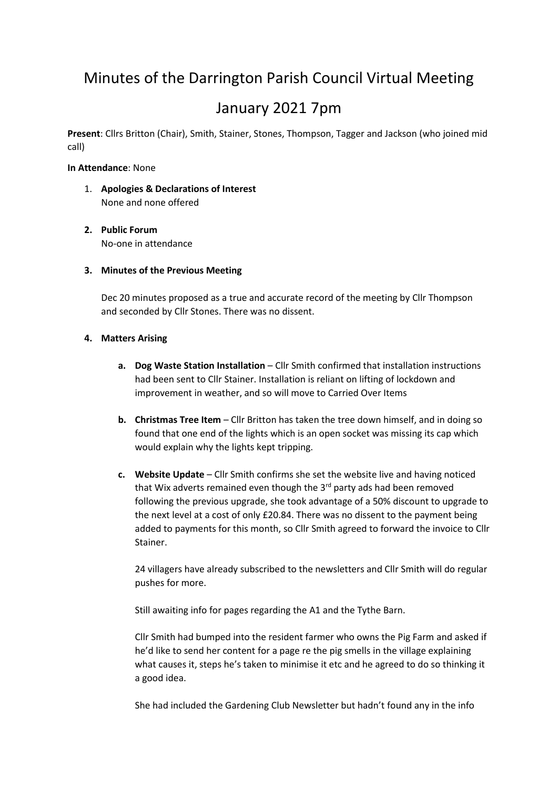# Minutes of the Darrington Parish Council Virtual Meeting

# January 2021 7pm

**Present**: Cllrs Britton (Chair), Smith, Stainer, Stones, Thompson, Tagger and Jackson (who joined mid call)

#### **In Attendance**: None

- 1. **Apologies & Declarations of Interest** None and none offered
- **2. Public Forum** No-one in attendance

#### **3. Minutes of the Previous Meeting**

Dec 20 minutes proposed as a true and accurate record of the meeting by Cllr Thompson and seconded by Cllr Stones. There was no dissent.

#### **4. Matters Arising**

- **a. Dog Waste Station Installation** Cllr Smith confirmed that installation instructions had been sent to Cllr Stainer. Installation is reliant on lifting of lockdown and improvement in weather, and so will move to Carried Over Items
- **b. Christmas Tree Item** Cllr Britton has taken the tree down himself, and in doing so found that one end of the lights which is an open socket was missing its cap which would explain why the lights kept tripping.
- **c. Website Update** Cllr Smith confirms she set the website live and having noticed that Wix adverts remained even though the 3<sup>rd</sup> party ads had been removed following the previous upgrade, she took advantage of a 50% discount to upgrade to the next level at a cost of only £20.84. There was no dissent to the payment being added to payments for this month, so Cllr Smith agreed to forward the invoice to Cllr Stainer.

24 villagers have already subscribed to the newsletters and Cllr Smith will do regular pushes for more.

Still awaiting info for pages regarding the A1 and the Tythe Barn.

Cllr Smith had bumped into the resident farmer who owns the Pig Farm and asked if he'd like to send her content for a page re the pig smells in the village explaining what causes it, steps he's taken to minimise it etc and he agreed to do so thinking it a good idea.

She had included the Gardening Club Newsletter but hadn't found any in the info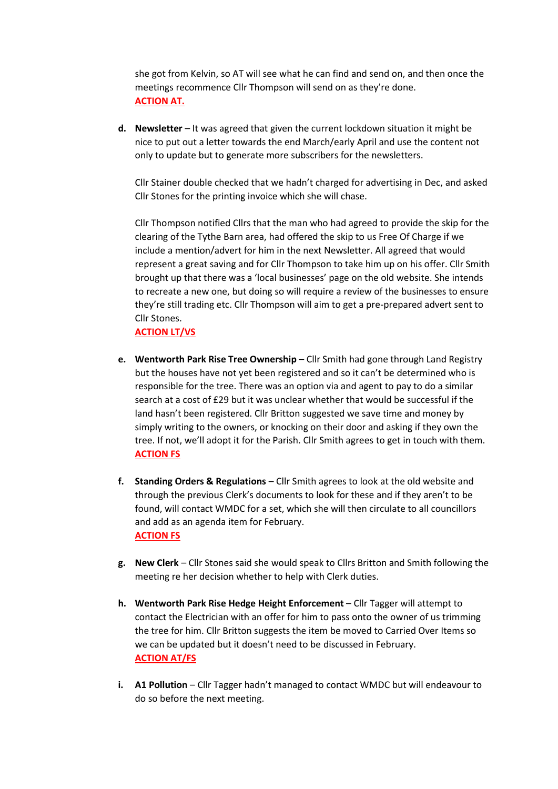she got from Kelvin, so AT will see what he can find and send on, and then once the meetings recommence Cllr Thompson will send on as they're done. **ACTION AT.**

**d. Newsletter** – It was agreed that given the current lockdown situation it might be nice to put out a letter towards the end March/early April and use the content not only to update but to generate more subscribers for the newsletters.

Cllr Stainer double checked that we hadn't charged for advertising in Dec, and asked Cllr Stones for the printing invoice which she will chase.

Cllr Thompson notified Cllrs that the man who had agreed to provide the skip for the clearing of the Tythe Barn area, had offered the skip to us Free Of Charge if we include a mention/advert for him in the next Newsletter. All agreed that would represent a great saving and for Cllr Thompson to take him up on his offer. Cllr Smith brought up that there was a 'local businesses' page on the old website. She intends to recreate a new one, but doing so will require a review of the businesses to ensure they're still trading etc. Cllr Thompson will aim to get a pre-prepared advert sent to Cllr Stones.

**ACTION LT/VS**

- **e. Wentworth Park Rise Tree Ownership** Cllr Smith had gone through Land Registry but the houses have not yet been registered and so it can't be determined who is responsible for the tree. There was an option via and agent to pay to do a similar search at a cost of £29 but it was unclear whether that would be successful if the land hasn't been registered. Cllr Britton suggested we save time and money by simply writing to the owners, or knocking on their door and asking if they own the tree. If not, we'll adopt it for the Parish. Cllr Smith agrees to get in touch with them. **ACTION FS**
- **f. Standing Orders & Regulations** Cllr Smith agrees to look at the old website and through the previous Clerk's documents to look for these and if they aren't to be found, will contact WMDC for a set, which she will then circulate to all councillors and add as an agenda item for February. **ACTION FS**
- **g. New Clerk** Cllr Stones said she would speak to Cllrs Britton and Smith following the meeting re her decision whether to help with Clerk duties.
- **h. Wentworth Park Rise Hedge Height Enforcement** Cllr Tagger will attempt to contact the Electrician with an offer for him to pass onto the owner of us trimming the tree for him. Cllr Britton suggests the item be moved to Carried Over Items so we can be updated but it doesn't need to be discussed in February. **ACTION AT/FS**
- **i. A1 Pollution** Cllr Tagger hadn't managed to contact WMDC but will endeavour to do so before the next meeting.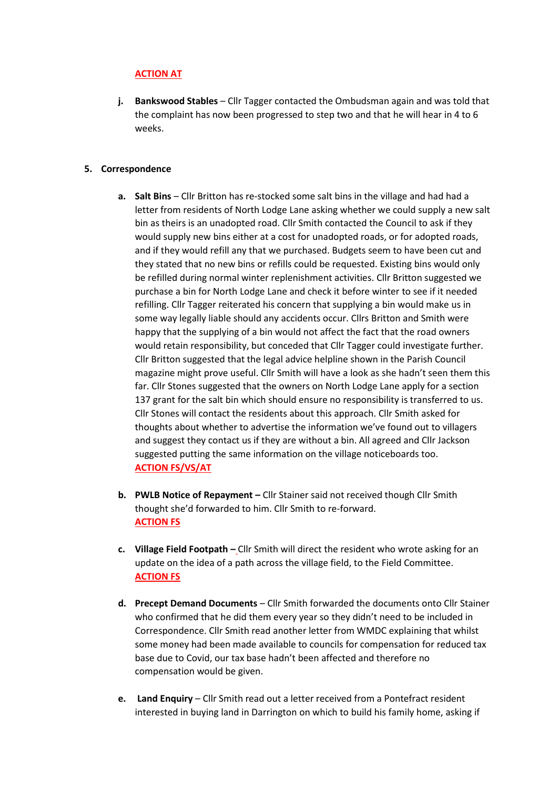## **ACTION AT**

**j. Bankswood Stables** – Cllr Tagger contacted the Ombudsman again and was told that the complaint has now been progressed to step two and that he will hear in 4 to 6 weeks.

#### **5. Correspondence**

- **a. Salt Bins** Cllr Britton has re-stocked some salt bins in the village and had had a letter from residents of North Lodge Lane asking whether we could supply a new salt bin as theirs is an unadopted road. Cllr Smith contacted the Council to ask if they would supply new bins either at a cost for unadopted roads, or for adopted roads, and if they would refill any that we purchased. Budgets seem to have been cut and they stated that no new bins or refills could be requested. Existing bins would only be refilled during normal winter replenishment activities. Cllr Britton suggested we purchase a bin for North Lodge Lane and check it before winter to see if it needed refilling. Cllr Tagger reiterated his concern that supplying a bin would make us in some way legally liable should any accidents occur. Cllrs Britton and Smith were happy that the supplying of a bin would not affect the fact that the road owners would retain responsibility, but conceded that Cllr Tagger could investigate further. Cllr Britton suggested that the legal advice helpline shown in the Parish Council magazine might prove useful. Cllr Smith will have a look as she hadn't seen them this far. Cllr Stones suggested that the owners on North Lodge Lane apply for a section 137 grant for the salt bin which should ensure no responsibility is transferred to us. Cllr Stones will contact the residents about this approach. Cllr Smith asked for thoughts about whether to advertise the information we've found out to villagers and suggest they contact us if they are without a bin. All agreed and Cllr Jackson suggested putting the same information on the village noticeboards too. **ACTION FS/VS/AT**
- **b. PWLB Notice of Repayment –** Cllr Stainer said not received though Cllr Smith thought she'd forwarded to him. Cllr Smith to re-forward. **ACTION FS**
- **c. Village Field Footpath –** Cllr Smith will direct the resident who wrote asking for an update on the idea of a path across the village field, to the Field Committee. **ACTION FS**
- **d. Precept Demand Documents** Cllr Smith forwarded the documents onto Cllr Stainer who confirmed that he did them every year so they didn't need to be included in Correspondence. Cllr Smith read another letter from WMDC explaining that whilst some money had been made available to councils for compensation for reduced tax base due to Covid, our tax base hadn't been affected and therefore no compensation would be given.
- **e. Land Enquiry** Cllr Smith read out a letter received from a Pontefract resident interested in buying land in Darrington on which to build his family home, asking if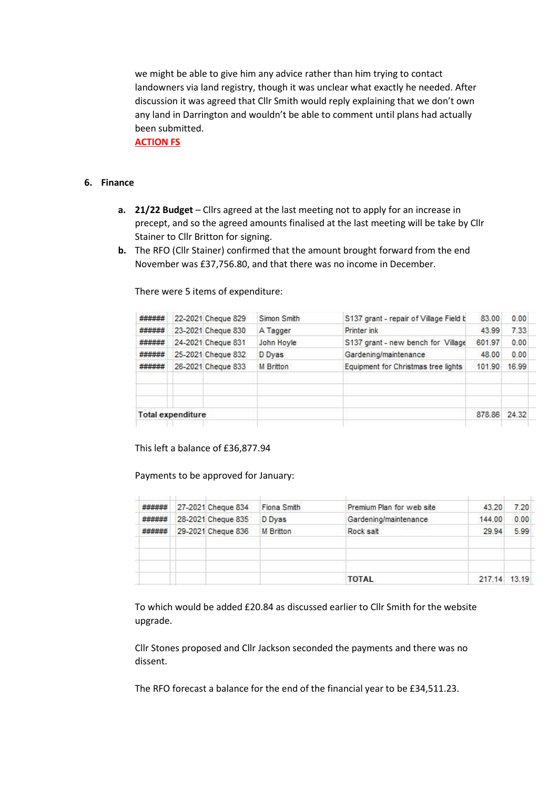we might be able to give him any advice rather than him trying to contact landowners via land registry, though it was unclear what exactly he needed. After discussion it was agreed that Cllr Smith would reply explaining that we don't own any land in Darrington and wouldn't be able to comment until plans had actually been submitted.

**ACTION FS**

#### **6. Finance**

- **a. 21/22 Budget** Cllrs agreed at the last meeting not to apply for an increase in precept, and so the agreed amounts finalised at the last meeting will be take by Cllr Stainer to Cllr Britton for signing.
- **b.** The RFO (Cllr Stainer) confirmed that the amount brought forward from the end November was £37,756.80, and that there was no income in December.

| <b>Total expenditure</b> |  |                    |                  |                                        | 878.86 | 24.32 |
|--------------------------|--|--------------------|------------------|----------------------------------------|--------|-------|
|                          |  |                    |                  |                                        |        |       |
| ######                   |  | 26-2021 Cheque 833 | <b>M</b> Britton | Equipment for Christmas tree lights    | 101.90 | 16.99 |
| ######                   |  | 25-2021 Cheque 832 | D Dyas           | Gardening/maintenance                  | 48.00  | 0.00  |
| ######                   |  | 24-2021 Cheque 831 | John Hoyle       | S137 grant - new bench for Village     | 601.97 | 0.00  |
| ######                   |  | 23-2021 Cheque 830 | A Tagger         | Printer ink                            | 43.99  | 7.33  |
| ######                   |  | 22-2021 Cheque 829 | Simon Smith      | S137 grant - repair of Village Field b | 83.00  | 0.00  |

There were 5 items of expenditure:

This left a balance of £36,877.94

Payments to be approved for January:

| ###### | 27-2021 Cheque 834 | Fiona Smith | Premium Plan for web site | 43.20  | 7.20  |
|--------|--------------------|-------------|---------------------------|--------|-------|
| ###### | 28-2021 Cheque 835 | D Dyas      | Gardening/maintenance     | 144.00 | 0.00  |
| ###### | 29-2021 Cheque 836 | M Britton   | Rock salt                 | 29.94  | 5.99  |
|        |                    |             |                           |        |       |
|        |                    |             |                           |        |       |
|        |                    |             |                           |        |       |
|        |                    |             | <b>TOTAL</b>              | 217.14 | 13.19 |

To which would be added £20.84 as discussed earlier to Cllr Smith for the website upgrade.

Cllr Stones proposed and Cllr Jackson seconded the payments and there was no dissent.

The RFO forecast a balance for the end of the financial year to be £34,511.23.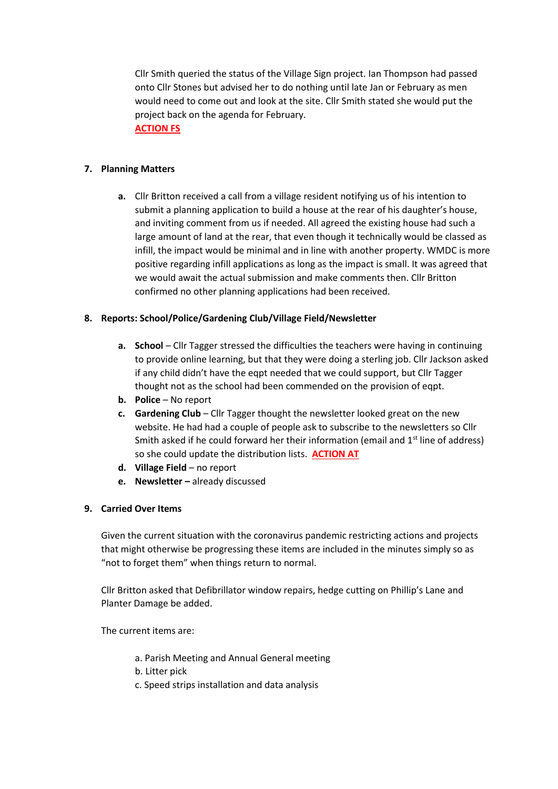Cllr Smith queried the status of the Village Sign project. Ian Thompson had passed onto Cllr Stones but advised her to do nothing until late Jan or February as men would need to come out and look at the site. Cllr Smith stated she would put the project back on the agenda for February. **ACTION FS**

## **7. Planning Matters**

**a.** Cllr Britton received a call from a village resident notifying us of his intention to submit a planning application to build a house at the rear of his daughter's house, and inviting comment from us if needed. All agreed the existing house had such a large amount of land at the rear, that even though it technically would be classed as infill, the impact would be minimal and in line with another property. WMDC is more positive regarding infill applications as long as the impact is small. It was agreed that we would await the actual submission and make comments then. Cllr Britton confirmed no other planning applications had been received.

#### **8. Reports: School/Police/Gardening Club/Village Field/Newsletter**

- **a. School** Cllr Tagger stressed the difficulties the teachers were having in continuing to provide online learning, but that they were doing a sterling job. Cllr Jackson asked if any child didn't have the eqpt needed that we could support, but Cllr Tagger thought not as the school had been commended on the provision of eqpt.
- **b. Police** No report
- **c. Gardening Club** Cllr Tagger thought the newsletter looked great on the new website. He had had a couple of people ask to subscribe to the newsletters so Cllr Smith asked if he could forward her their information (email and  $1<sup>st</sup>$  line of address) so she could update the distribution lists. **ACTION AT**
- **d. Village Field**  no report
- **e. Newsletter –** already discussed

# **9. Carried Over Items**

Given the current situation with the coronavirus pandemic restricting actions and projects that might otherwise be progressing these items are included in the minutes simply so as "not to forget them" when things return to normal.

Cllr Britton asked that Defibrillator window repairs, hedge cutting on Phillip's Lane and Planter Damage be added.

The current items are:

- a. Parish Meeting and Annual General meeting
- b. Litter pick
- c. Speed strips installation and data analysis